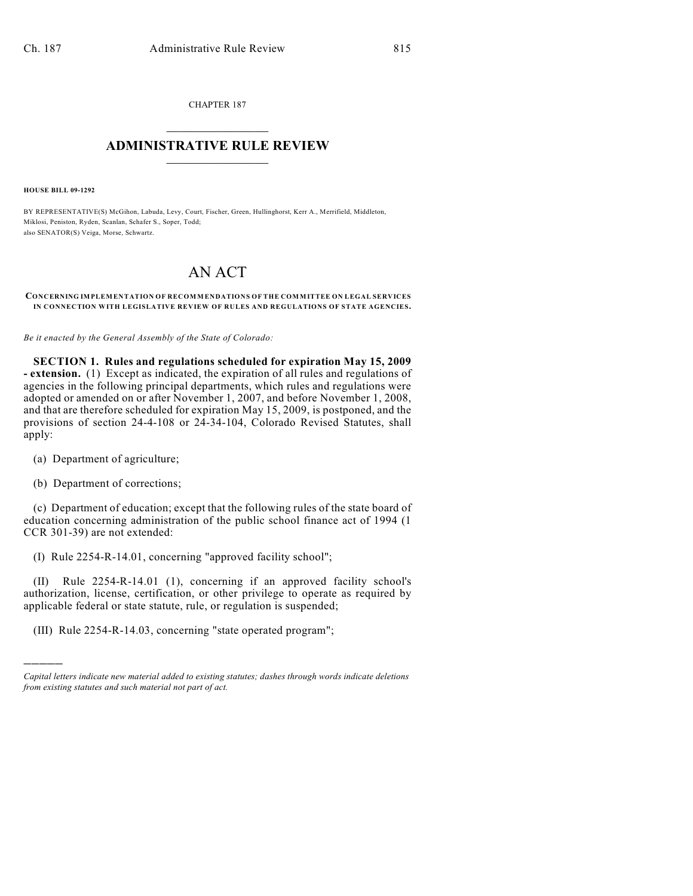CHAPTER 187  $\overline{\phantom{a}}$  . The set of the set of the set of the set of the set of the set of the set of the set of the set of the set of the set of the set of the set of the set of the set of the set of the set of the set of the set o

## **ADMINISTRATIVE RULE REVIEW**  $\_$

**HOUSE BILL 09-1292**

BY REPRESENTATIVE(S) McGihon, Labuda, Levy, Court, Fischer, Green, Hullinghorst, Kerr A., Merrifield, Middleton, Miklosi, Peniston, Ryden, Scanlan, Schafer S., Soper, Todd; also SENATOR(S) Veiga, Morse, Schwartz.

## AN ACT

## **CONCERNING IMPLEMENTATION OF RECOMMENDATIONS OF THE COMMITTEE ON LEGAL SERVICES IN CONNECTION WITH LEGISLATIVE REVIEW OF RULES AND REGULATIONS OF STATE AGENCIES.**

*Be it enacted by the General Assembly of the State of Colorado:*

**SECTION 1. Rules and regulations scheduled for expiration May 15, 2009 - extension.** (1) Except as indicated, the expiration of all rules and regulations of agencies in the following principal departments, which rules and regulations were adopted or amended on or after November 1, 2007, and before November 1, 2008, and that are therefore scheduled for expiration May 15, 2009, is postponed, and the provisions of section 24-4-108 or 24-34-104, Colorado Revised Statutes, shall apply:

(a) Department of agriculture;

(b) Department of corrections;

)))))

(c) Department of education; except that the following rules of the state board of education concerning administration of the public school finance act of 1994 (1 CCR 301-39) are not extended:

(I) Rule 2254-R-14.01, concerning "approved facility school";

(II) Rule 2254-R-14.01 (1), concerning if an approved facility school's authorization, license, certification, or other privilege to operate as required by applicable federal or state statute, rule, or regulation is suspended;

(III) Rule 2254-R-14.03, concerning "state operated program";

*Capital letters indicate new material added to existing statutes; dashes through words indicate deletions from existing statutes and such material not part of act.*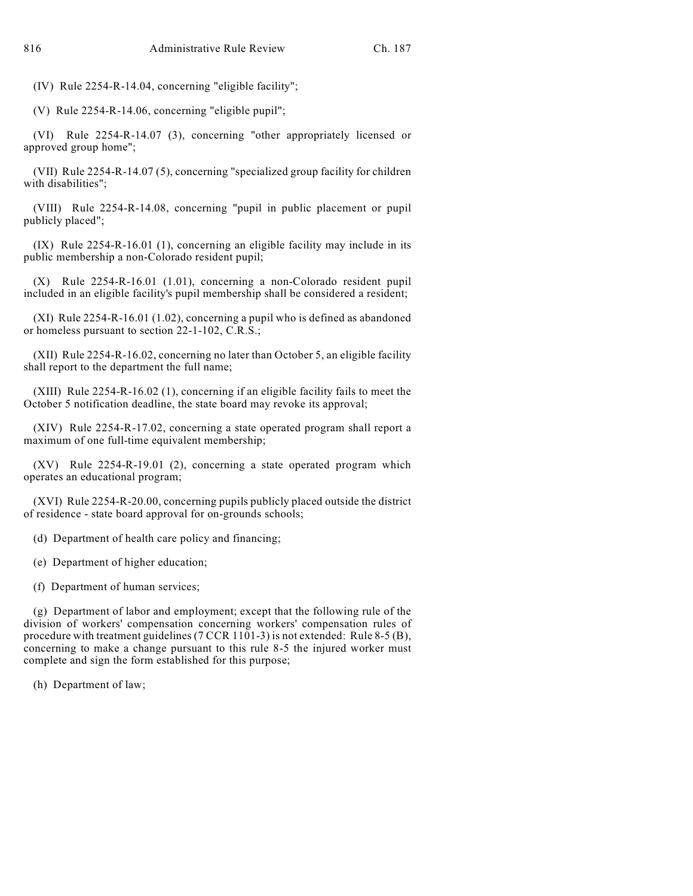(IV) Rule 2254-R-14.04, concerning "eligible facility";

(V) Rule 2254-R-14.06, concerning "eligible pupil";

(VI) Rule 2254-R-14.07 (3), concerning "other appropriately licensed or approved group home";

(VII) Rule 2254-R-14.07 (5), concerning "specialized group facility for children with disabilities";

(VIII) Rule 2254-R-14.08, concerning "pupil in public placement or pupil publicly placed";

(IX) Rule 2254-R-16.01 (1), concerning an eligible facility may include in its public membership a non-Colorado resident pupil;

(X) Rule 2254-R-16.01 (1.01), concerning a non-Colorado resident pupil included in an eligible facility's pupil membership shall be considered a resident;

(XI) Rule 2254-R-16.01 (1.02), concerning a pupil who is defined as abandoned or homeless pursuant to section 22-1-102, C.R.S.;

(XII) Rule 2254-R-16.02, concerning no later than October 5, an eligible facility shall report to the department the full name;

(XIII) Rule 2254-R-16.02 (1), concerning if an eligible facility fails to meet the October 5 notification deadline, the state board may revoke its approval;

(XIV) Rule 2254-R-17.02, concerning a state operated program shall report a maximum of one full-time equivalent membership;

(XV) Rule 2254-R-19.01 (2), concerning a state operated program which operates an educational program;

(XVI) Rule 2254-R-20.00, concerning pupils publicly placed outside the district of residence - state board approval for on-grounds schools;

(d) Department of health care policy and financing;

(e) Department of higher education;

(f) Department of human services;

(g) Department of labor and employment; except that the following rule of the division of workers' compensation concerning workers' compensation rules of procedure with treatment guidelines (7 CCR 1101-3) is not extended: Rule 8-5 (B), concerning to make a change pursuant to this rule 8-5 the injured worker must complete and sign the form established for this purpose;

(h) Department of law;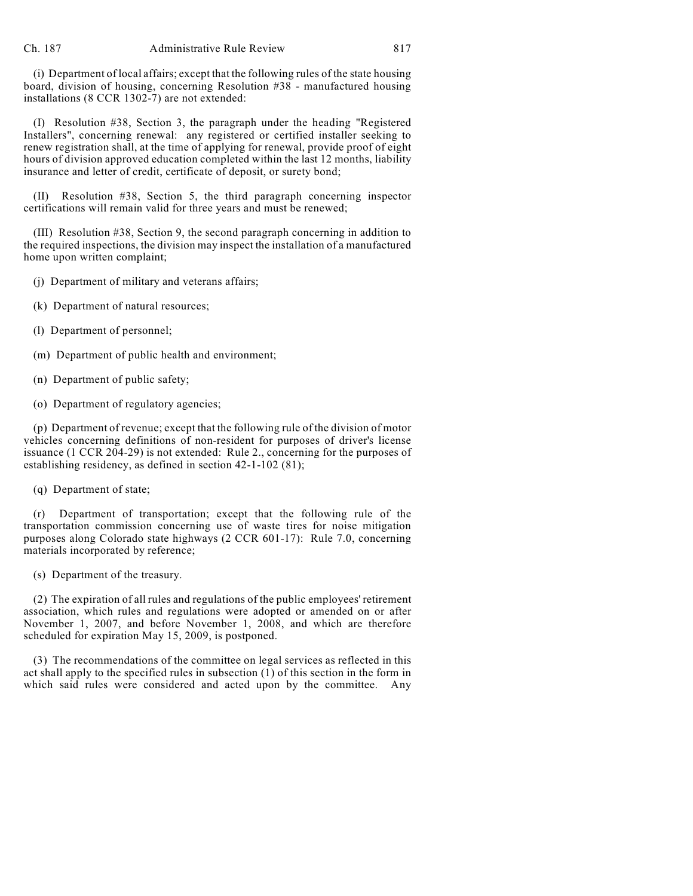(i) Department of local affairs; except that the following rules of the state housing board, division of housing, concerning Resolution #38 - manufactured housing installations (8 CCR 1302-7) are not extended:

(I) Resolution #38, Section 3, the paragraph under the heading "Registered Installers", concerning renewal: any registered or certified installer seeking to renew registration shall, at the time of applying for renewal, provide proof of eight hours of division approved education completed within the last 12 months, liability insurance and letter of credit, certificate of deposit, or surety bond;

(II) Resolution #38, Section 5, the third paragraph concerning inspector certifications will remain valid for three years and must be renewed;

(III) Resolution #38, Section 9, the second paragraph concerning in addition to the required inspections, the division may inspect the installation of a manufactured home upon written complaint;

- (j) Department of military and veterans affairs;
- (k) Department of natural resources;
- (l) Department of personnel;
- (m) Department of public health and environment;
- (n) Department of public safety;
- (o) Department of regulatory agencies;

(p) Department of revenue; except that the following rule of the division of motor vehicles concerning definitions of non-resident for purposes of driver's license issuance (1 CCR 204-29) is not extended: Rule 2., concerning for the purposes of establishing residency, as defined in section 42-1-102 (81);

(q) Department of state;

(r) Department of transportation; except that the following rule of the transportation commission concerning use of waste tires for noise mitigation purposes along Colorado state highways (2 CCR 601-17): Rule 7.0, concerning materials incorporated by reference;

(s) Department of the treasury.

(2) The expiration of all rules and regulations of the public employees' retirement association, which rules and regulations were adopted or amended on or after November 1, 2007, and before November 1, 2008, and which are therefore scheduled for expiration May 15, 2009, is postponed.

(3) The recommendations of the committee on legal services as reflected in this act shall apply to the specified rules in subsection  $(1)$  of this section in the form in which said rules were considered and acted upon by the committee. Any